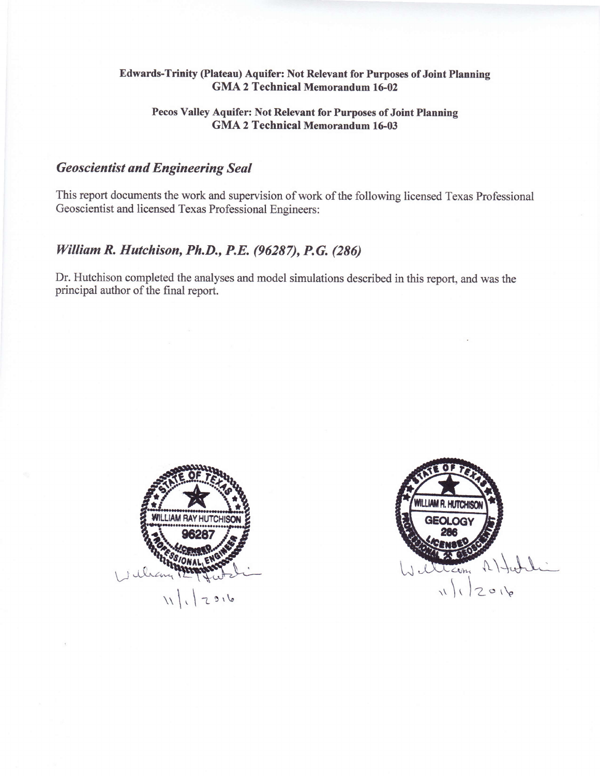#### Edwards-Trinity (Plateau) Aquifer: Not Relevant for Purposes of Joint Planning **GMA 2 Technical Memorandum 16-02**

#### Pecos Valley Aquifer: Not Relevant for Purposes of Joint Planning **GMA 2 Technical Memorandum 16-03**

# **Geoscientist and Engineering Seal**

This report documents the work and supervision of work of the following licensed Texas Professional Geoscientist and licensed Texas Professional Engineers:

# William R. Hutchison, Ph.D., P.E. (96287), P.G. (286)

Dr. Hutchison completed the analyses and model simulations described in this report, and was the principal author of the final report.



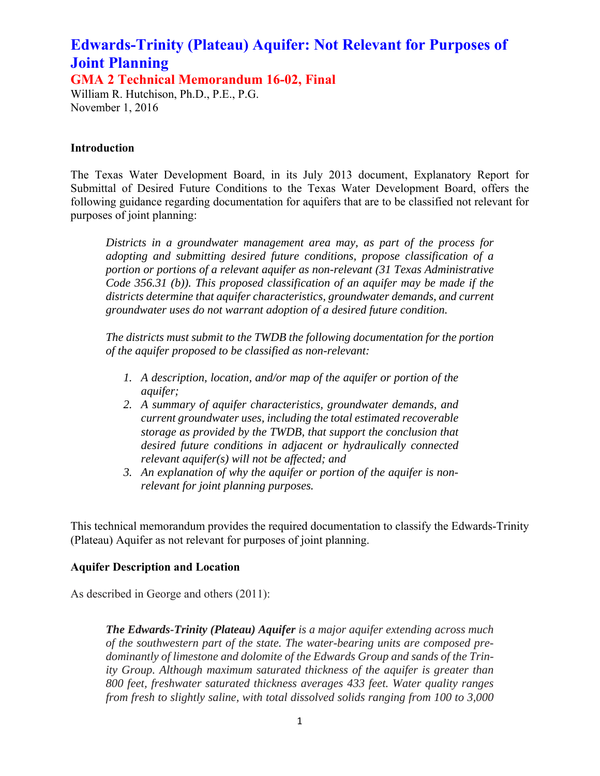**GMA 2 Technical Memorandum 16-02, Final** 

William R. Hutchison, Ph.D., P.E., P.G. November 1, 2016

### **Introduction**

The Texas Water Development Board, in its July 2013 document, Explanatory Report for Submittal of Desired Future Conditions to the Texas Water Development Board, offers the following guidance regarding documentation for aquifers that are to be classified not relevant for purposes of joint planning:

*Districts in a groundwater management area may, as part of the process for adopting and submitting desired future conditions, propose classification of a portion or portions of a relevant aquifer as non-relevant (31 Texas Administrative Code 356.31 (b)). This proposed classification of an aquifer may be made if the districts determine that aquifer characteristics, groundwater demands, and current groundwater uses do not warrant adoption of a desired future condition.* 

*The districts must submit to the TWDB the following documentation for the portion of the aquifer proposed to be classified as non-relevant:* 

- *1. A description, location, and/or map of the aquifer or portion of the aquifer;*
- *2. A summary of aquifer characteristics, groundwater demands, and current groundwater uses, including the total estimated recoverable storage as provided by the TWDB, that support the conclusion that desired future conditions in adjacent or hydraulically connected relevant aquifer(s) will not be affected; and*
- *3. An explanation of why the aquifer or portion of the aquifer is nonrelevant for joint planning purposes.*

This technical memorandum provides the required documentation to classify the Edwards-Trinity (Plateau) Aquifer as not relevant for purposes of joint planning.

#### **Aquifer Description and Location**

As described in George and others (2011):

*The Edwards-Trinity (Plateau) Aquifer is a major aquifer extending across much of the southwestern part of the state. The water-bearing units are composed predominantly of limestone and dolomite of the Edwards Group and sands of the Trinity Group. Although maximum saturated thickness of the aquifer is greater than 800 feet, freshwater saturated thickness averages 433 feet. Water quality ranges from fresh to slightly saline, with total dissolved solids ranging from 100 to 3,000*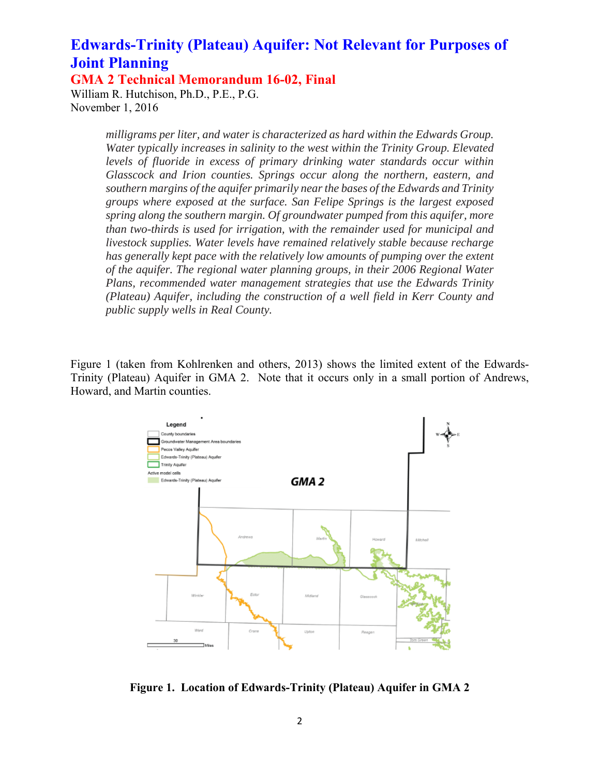**GMA 2 Technical Memorandum 16-02, Final** 

William R. Hutchison, Ph.D., P.E., P.G. November 1, 2016

> *milligrams per liter, and water is characterized as hard within the Edwards Group. Water typically increases in salinity to the west within the Trinity Group. Elevated levels of fluoride in excess of primary drinking water standards occur within Glasscock and Irion counties. Springs occur along the northern, eastern, and southern margins of the aquifer primarily near the bases of the Edwards and Trinity groups where exposed at the surface. San Felipe Springs is the largest exposed spring along the southern margin. Of groundwater pumped from this aquifer, more than two-thirds is used for irrigation, with the remainder used for municipal and livestock supplies. Water levels have remained relatively stable because recharge has generally kept pace with the relatively low amounts of pumping over the extent of the aquifer. The regional water planning groups, in their 2006 Regional Water Plans, recommended water management strategies that use the Edwards Trinity (Plateau) Aquifer, including the construction of a well field in Kerr County and public supply wells in Real County.*

Figure 1 (taken from Kohlrenken and others, 2013) shows the limited extent of the Edwards-Trinity (Plateau) Aquifer in GMA 2. Note that it occurs only in a small portion of Andrews, Howard, and Martin counties.



**Figure 1. Location of Edwards-Trinity (Plateau) Aquifer in GMA 2**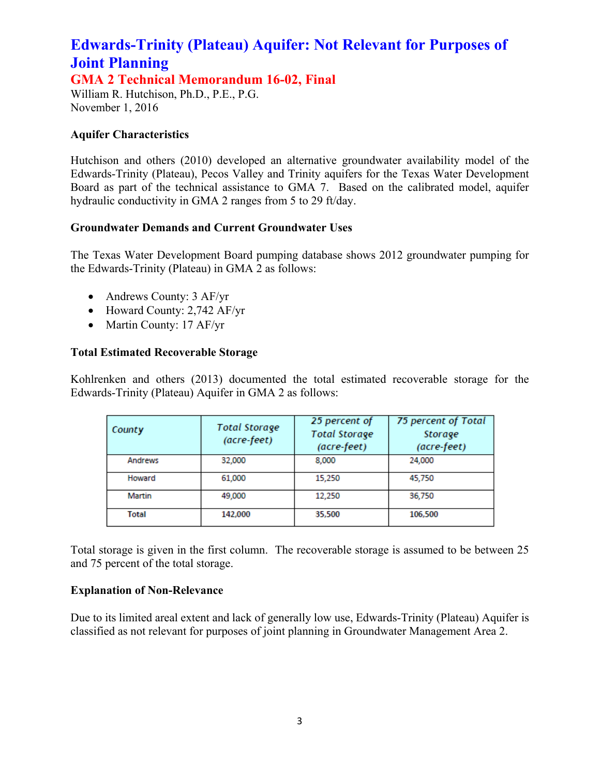**GMA 2 Technical Memorandum 16-02, Final** 

William R. Hutchison, Ph.D., P.E., P.G. November 1, 2016

## **Aquifer Characteristics**

Hutchison and others (2010) developed an alternative groundwater availability model of the Edwards-Trinity (Plateau), Pecos Valley and Trinity aquifers for the Texas Water Development Board as part of the technical assistance to GMA 7. Based on the calibrated model, aquifer hydraulic conductivity in GMA 2 ranges from 5 to 29 ft/day.

## **Groundwater Demands and Current Groundwater Uses**

The Texas Water Development Board pumping database shows 2012 groundwater pumping for the Edwards-Trinity (Plateau) in GMA 2 as follows:

- Andrews County: 3 AF/yr
- Howard County: 2,742 AF/yr
- Martin County: 17 AF/yr

## **Total Estimated Recoverable Storage**

Kohlrenken and others (2013) documented the total estimated recoverable storage for the Edwards-Trinity (Plateau) Aquifer in GMA 2 as follows:

| County       | <b>Total Storage</b><br>(acre-feet) | 25 percent of<br><b>Total Storage</b><br>(acre-feet) | 75 percent of Total<br>Storage<br>(acre-feet) |  |  |
|--------------|-------------------------------------|------------------------------------------------------|-----------------------------------------------|--|--|
| Andrews      | 32,000                              | 8,000                                                | 24,000                                        |  |  |
| Howard       | 61,000                              | 15,250                                               | 45,750                                        |  |  |
| Martin       | 49,000                              | 12,250                                               | 36,750                                        |  |  |
| <b>Total</b> | 142,000                             | 35,500                                               | 106,500                                       |  |  |

Total storage is given in the first column. The recoverable storage is assumed to be between 25 and 75 percent of the total storage.

#### **Explanation of Non-Relevance**

Due to its limited areal extent and lack of generally low use, Edwards-Trinity (Plateau) Aquifer is classified as not relevant for purposes of joint planning in Groundwater Management Area 2.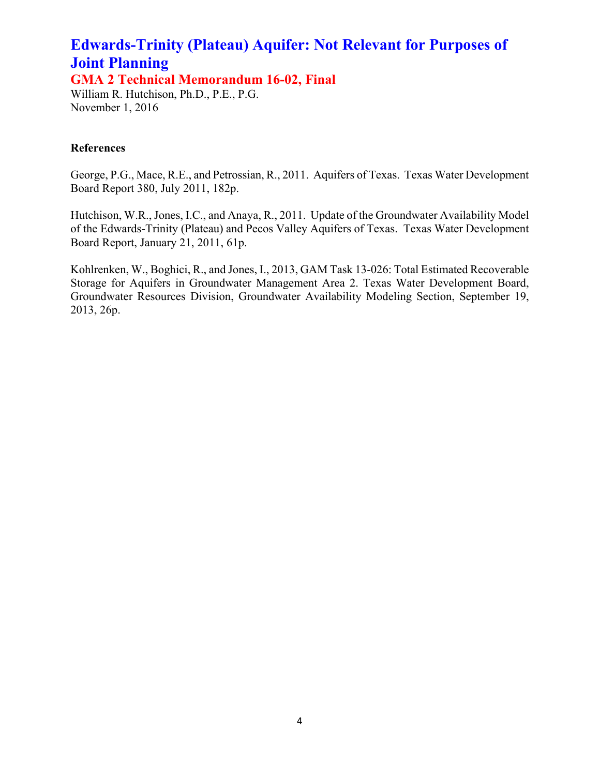**GMA 2 Technical Memorandum 16-02, Final** 

William R. Hutchison, Ph.D., P.E., P.G. November 1, 2016

## **References**

George, P.G., Mace, R.E., and Petrossian, R., 2011. Aquifers of Texas. Texas Water Development Board Report 380, July 2011, 182p.

Hutchison, W.R., Jones, I.C., and Anaya, R., 2011. Update of the Groundwater Availability Model of the Edwards-Trinity (Plateau) and Pecos Valley Aquifers of Texas. Texas Water Development Board Report, January 21, 2011, 61p.

Kohlrenken, W., Boghici, R., and Jones, I., 2013, GAM Task 13-026: Total Estimated Recoverable Storage for Aquifers in Groundwater Management Area 2. Texas Water Development Board, Groundwater Resources Division, Groundwater Availability Modeling Section, September 19, 2013, 26p.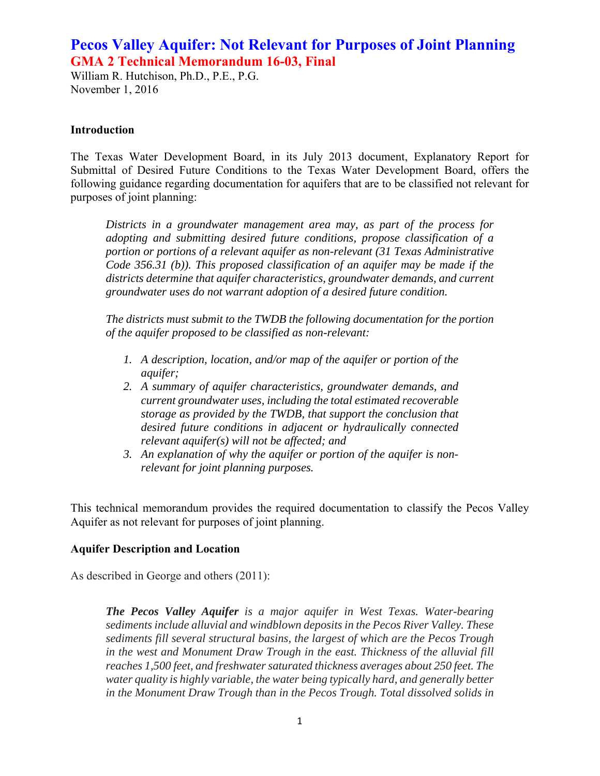William R. Hutchison, Ph.D., P.E., P.G. November 1, 2016

#### **Introduction**

The Texas Water Development Board, in its July 2013 document, Explanatory Report for Submittal of Desired Future Conditions to the Texas Water Development Board, offers the following guidance regarding documentation for aquifers that are to be classified not relevant for purposes of joint planning:

*Districts in a groundwater management area may, as part of the process for adopting and submitting desired future conditions, propose classification of a portion or portions of a relevant aquifer as non-relevant (31 Texas Administrative Code 356.31 (b)). This proposed classification of an aquifer may be made if the districts determine that aquifer characteristics, groundwater demands, and current groundwater uses do not warrant adoption of a desired future condition.* 

*The districts must submit to the TWDB the following documentation for the portion of the aquifer proposed to be classified as non-relevant:* 

- *1. A description, location, and/or map of the aquifer or portion of the aquifer;*
- *2. A summary of aquifer characteristics, groundwater demands, and current groundwater uses, including the total estimated recoverable storage as provided by the TWDB, that support the conclusion that desired future conditions in adjacent or hydraulically connected relevant aquifer(s) will not be affected; and*
- *3. An explanation of why the aquifer or portion of the aquifer is nonrelevant for joint planning purposes.*

This technical memorandum provides the required documentation to classify the Pecos Valley Aquifer as not relevant for purposes of joint planning.

#### **Aquifer Description and Location**

As described in George and others (2011):

*The Pecos Valley Aquifer is a major aquifer in West Texas. Water-bearing sediments include alluvial and windblown deposits in the Pecos River Valley. These sediments fill several structural basins, the largest of which are the Pecos Trough in the west and Monument Draw Trough in the east. Thickness of the alluvial fill reaches 1,500 feet, and freshwater saturated thickness averages about 250 feet. The water quality is highly variable, the water being typically hard, and generally better in the Monument Draw Trough than in the Pecos Trough. Total dissolved solids in*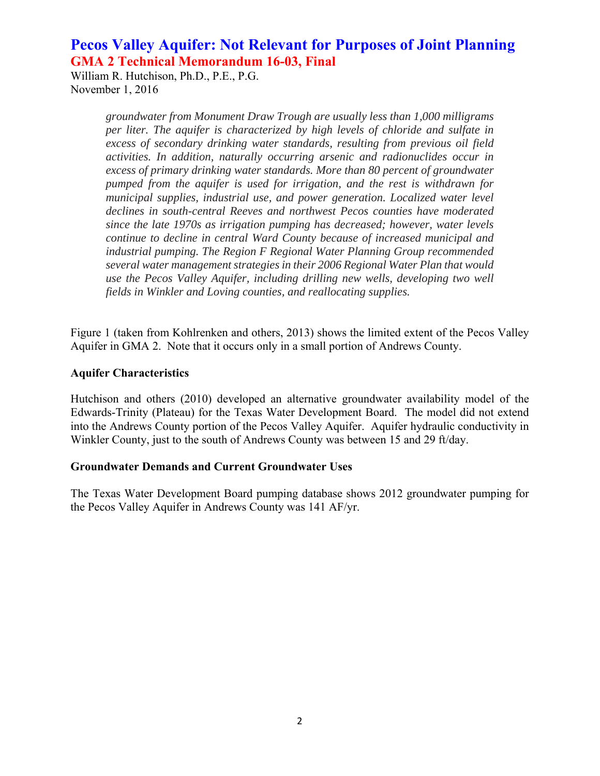William R. Hutchison, Ph.D., P.E., P.G. November 1, 2016

> *groundwater from Monument Draw Trough are usually less than 1,000 milligrams per liter. The aquifer is characterized by high levels of chloride and sulfate in excess of secondary drinking water standards, resulting from previous oil field activities. In addition, naturally occurring arsenic and radionuclides occur in excess of primary drinking water standards. More than 80 percent of groundwater pumped from the aquifer is used for irrigation, and the rest is withdrawn for municipal supplies, industrial use, and power generation. Localized water level declines in south-central Reeves and northwest Pecos counties have moderated since the late 1970s as irrigation pumping has decreased; however, water levels continue to decline in central Ward County because of increased municipal and industrial pumping. The Region F Regional Water Planning Group recommended several water management strategies in their 2006 Regional Water Plan that would use the Pecos Valley Aquifer, including drilling new wells, developing two well fields in Winkler and Loving counties, and reallocating supplies.*

Figure 1 (taken from Kohlrenken and others, 2013) shows the limited extent of the Pecos Valley Aquifer in GMA 2. Note that it occurs only in a small portion of Andrews County.

### **Aquifer Characteristics**

Hutchison and others (2010) developed an alternative groundwater availability model of the Edwards-Trinity (Plateau) for the Texas Water Development Board. The model did not extend into the Andrews County portion of the Pecos Valley Aquifer. Aquifer hydraulic conductivity in Winkler County, just to the south of Andrews County was between 15 and 29 ft/day.

#### **Groundwater Demands and Current Groundwater Uses**

The Texas Water Development Board pumping database shows 2012 groundwater pumping for the Pecos Valley Aquifer in Andrews County was 141 AF/yr.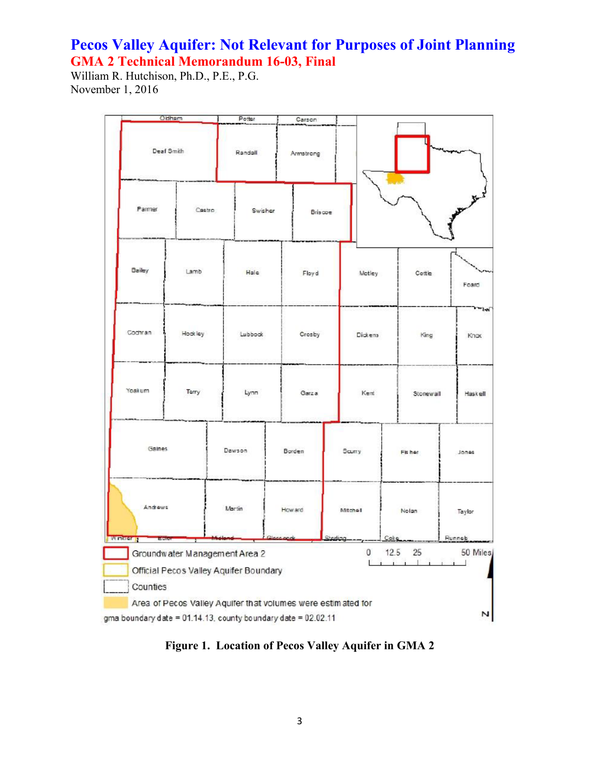William R. Hutchison, Ph.D., P.E., P.G. November 1, 2016

|                                                                                                                                    | Oldham  |  | Potter            |  | Carson               |        |          |               |        |                  |              |  |
|------------------------------------------------------------------------------------------------------------------------------------|---------|--|-------------------|--|----------------------|--------|----------|---------------|--------|------------------|--------------|--|
| Deaf Smith                                                                                                                         |         |  | Randall           |  | Armstrong            |        |          |               |        |                  |              |  |
| Parmer<br>Castro                                                                                                                   |         |  | Swisher           |  | <b>Briscoe</b>       |        |          |               |        |                  |              |  |
| Bailey                                                                                                                             | Lamb    |  | Hale              |  | Floyd                |        | Motley   |               | Cottle |                  | Foard        |  |
| Cochran                                                                                                                            | Hockley |  | Lubbook           |  | Crosby               |        | Dickens  |               | King   |                  | ીનની<br>Knox |  |
| Yoskum                                                                                                                             | Terry   |  | Lynn              |  | Garza                |        | Kent     |               |        | Stonewall        |              |  |
| Gaines                                                                                                                             |         |  | Dawson            |  | Borden               | Saurry |          |               | Fisher |                  | Jones        |  |
| Andrews<br><b>EVVITATOR</b><br>Hen                                                                                                 |         |  | Martin<br>How ard |  | Mitchell<br>Sterling |        |          | Notan<br>Coke |        | Taylor<br>Runneb |              |  |
| 0<br>12.5<br>25<br>Groundwater Management Area 2<br>$\mathbf{1}$<br>Official Pecos Valley Aquifer Boundary<br>Counties             |         |  |                   |  |                      |        | 50 Miles |               |        |                  |              |  |
|                                                                                                                                    |         |  |                   |  |                      |        |          |               |        |                  |              |  |
| Area of Pecos Valley Aquifer that volumes were estimated for<br>N<br>gma boundary date = 01.14.13, county boundary date = 02.02.11 |         |  |                   |  |                      |        |          |               |        |                  |              |  |

**Figure 1. Location of Pecos Valley Aquifer in GMA 2**